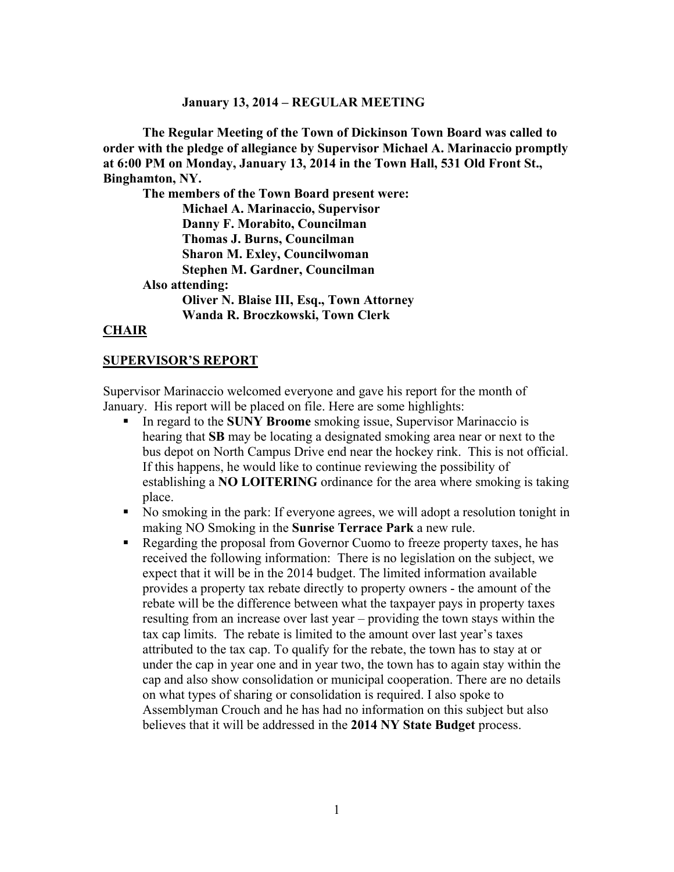#### **January 13, 2014 – REGULAR MEETING**

**The Regular Meeting of the Town of Dickinson Town Board was called to order with the pledge of allegiance by Supervisor Michael A. Marinaccio promptly at 6:00 PM on Monday, January 13, 2014 in the Town Hall, 531 Old Front St., Binghamton, NY.** 

**The members of the Town Board present were: Michael A. Marinaccio, Supervisor Danny F. Morabito, Councilman Thomas J. Burns, Councilman Sharon M. Exley, Councilwoman Stephen M. Gardner, Councilman Also attending: Oliver N. Blaise III, Esq., Town Attorney Wanda R. Broczkowski, Town Clerk** 

#### **CHAIR**

#### **SUPERVISOR'S REPORT**

Supervisor Marinaccio welcomed everyone and gave his report for the month of January. His report will be placed on file. Here are some highlights:

- In regard to the **SUNY Broome** smoking issue, Supervisor Marinaccio is hearing that **SB** may be locating a designated smoking area near or next to the bus depot on North Campus Drive end near the hockey rink. This is not official. If this happens, he would like to continue reviewing the possibility of establishing a **NO LOITERING** ordinance for the area where smoking is taking place.
- No smoking in the park: If everyone agrees, we will adopt a resolution tonight in making NO Smoking in the **Sunrise Terrace Park** a new rule.
- Regarding the proposal from Governor Cuomo to freeze property taxes, he has received the following information: There is no legislation on the subject, we expect that it will be in the 2014 budget. The limited information available provides a property tax rebate directly to property owners - the amount of the rebate will be the difference between what the taxpayer pays in property taxes resulting from an increase over last year – providing the town stays within the tax cap limits. The rebate is limited to the amount over last year's taxes attributed to the tax cap. To qualify for the rebate, the town has to stay at or under the cap in year one and in year two, the town has to again stay within the cap and also show consolidation or municipal cooperation. There are no details on what types of sharing or consolidation is required. I also spoke to Assemblyman Crouch and he has had no information on this subject but also believes that it will be addressed in the **2014 NY State Budget** process.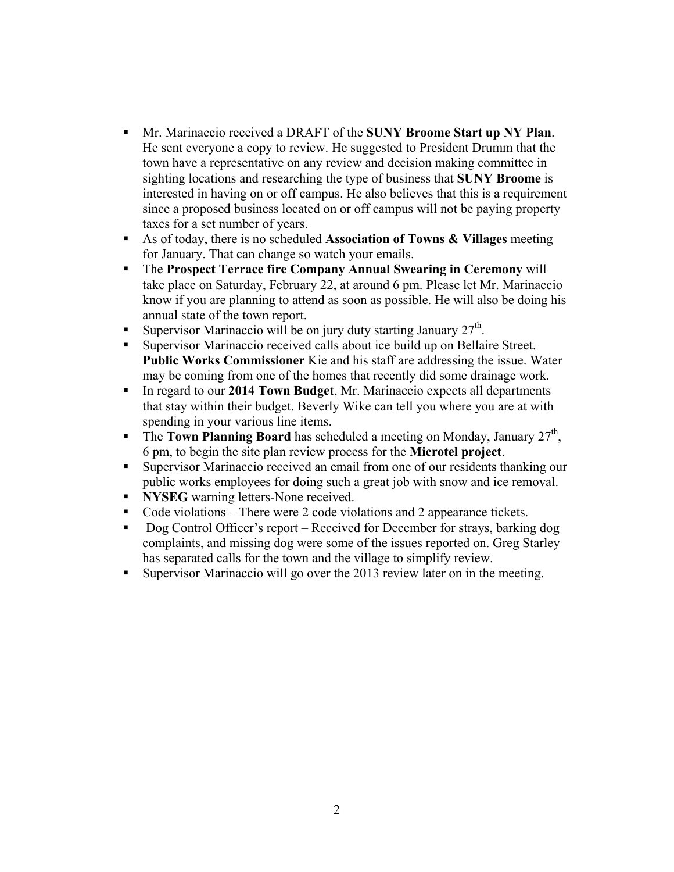- Mr. Marinaccio received a DRAFT of the **SUNY Broome Start up NY Plan**. He sent everyone a copy to review. He suggested to President Drumm that the town have a representative on any review and decision making committee in sighting locations and researching the type of business that **SUNY Broome** is interested in having on or off campus. He also believes that this is a requirement since a proposed business located on or off campus will not be paying property taxes for a set number of years.
- As of today, there is no scheduled **Association of Towns & Villages** meeting for January. That can change so watch your emails.
- The **Prospect Terrace fire Company Annual Swearing in Ceremony** will take place on Saturday, February 22, at around 6 pm. Please let Mr. Marinaccio know if you are planning to attend as soon as possible. He will also be doing his annual state of the town report.
- Supervisor Marinaccio will be on jury duty starting January  $27<sup>th</sup>$ .
- Supervisor Marinaccio received calls about ice build up on Bellaire Street. **Public Works Commissioner** Kie and his staff are addressing the issue. Water may be coming from one of the homes that recently did some drainage work.
- In regard to our **2014 Town Budget**, Mr. Marinaccio expects all departments that stay within their budget. Beverly Wike can tell you where you are at with spending in your various line items.
- **The Town Planning Board** has scheduled a meeting on Monday, January  $27<sup>th</sup>$ , 6 pm, to begin the site plan review process for the **Microtel project**.
- Supervisor Marinaccio received an email from one of our residents thanking our public works employees for doing such a great job with snow and ice removal.
- **NYSEG** warning letters-None received.
- Code violations There were 2 code violations and 2 appearance tickets.
- Dog Control Officer's report Received for December for strays, barking dog complaints, and missing dog were some of the issues reported on. Greg Starley has separated calls for the town and the village to simplify review.
- Supervisor Marinaccio will go over the 2013 review later on in the meeting.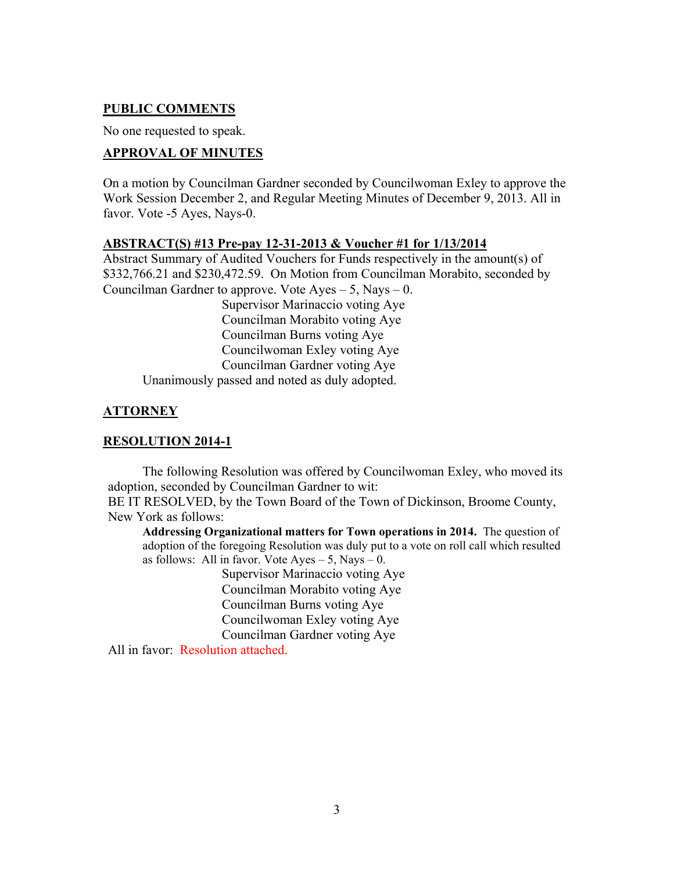#### **PUBLIC COMMENTS**

No one requested to speak.

### **APPROVAL OF MINUTES**

On a motion by Councilman Gardner seconded by Councilwoman Exley to approve the Work Session December 2, and Regular Meeting Minutes of December 9, 2013. All in favor. Vote -5 Ayes, Nays-0.

#### **ABSTRACT(S) #13 Pre-pay 12-31-2013 & Voucher #1 for 1/13/2014**

Abstract Summary of Audited Vouchers for Funds respectively in the amount(s) of \$332,766.21 and \$230,472.59. On Motion from Councilman Morabito, seconded by Councilman Gardner to approve. Vote  $A$ yes  $-5$ , Nays  $-0$ . Supervisor Marinaccio voting Aye

 Councilman Morabito voting Aye Councilman Burns voting Aye Councilwoman Exley voting Aye Councilman Gardner voting Aye Unanimously passed and noted as duly adopted.

# **ATTORNEY**

### **RESOLUTION 2014-1**

 The following Resolution was offered by Councilwoman Exley, who moved its adoption, seconded by Councilman Gardner to wit:

BE IT RESOLVED, by the Town Board of the Town of Dickinson, Broome County, New York as follows:

**Addressing Organizational matters for Town operations in 2014.** The question of adoption of the foregoing Resolution was duly put to a vote on roll call which resulted as follows: All in favor. Vote  $Aves - 5$ , Nays  $- 0$ .

> Supervisor Marinaccio voting Aye Councilman Morabito voting Aye Councilman Burns voting Aye Councilwoman Exley voting Aye Councilman Gardner voting Aye

All in favor: Resolution attached.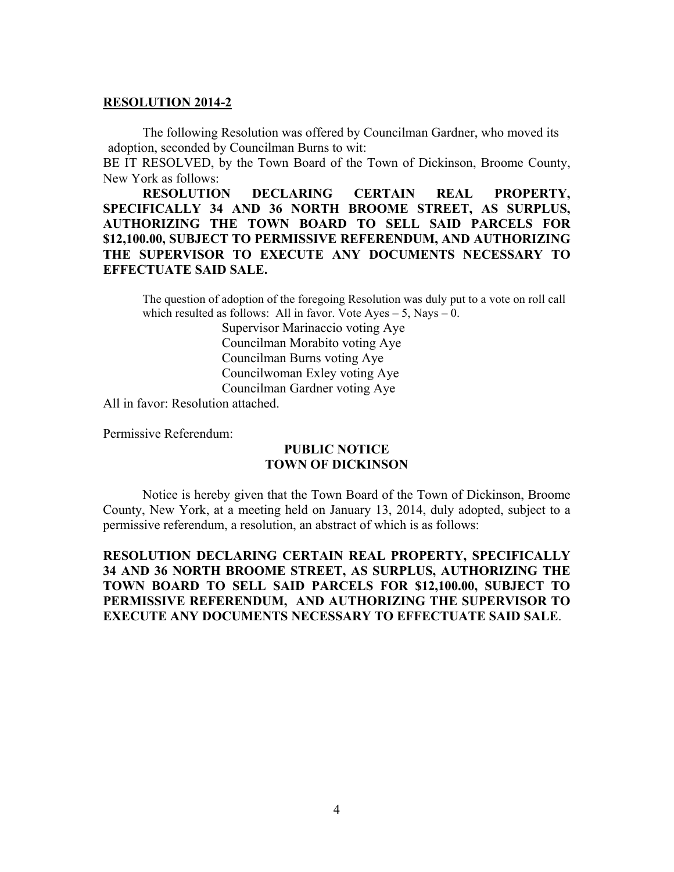#### **RESOLUTION 2014-2**

 The following Resolution was offered by Councilman Gardner, who moved its adoption, seconded by Councilman Burns to wit:

BE IT RESOLVED, by the Town Board of the Town of Dickinson, Broome County, New York as follows:

**RESOLUTION DECLARING CERTAIN REAL PROPERTY, SPECIFICALLY 34 AND 36 NORTH BROOME STREET, AS SURPLUS, AUTHORIZING THE TOWN BOARD TO SELL SAID PARCELS FOR \$12,100.00, SUBJECT TO PERMISSIVE REFERENDUM, AND AUTHORIZING THE SUPERVISOR TO EXECUTE ANY DOCUMENTS NECESSARY TO EFFECTUATE SAID SALE.** 

The question of adoption of the foregoing Resolution was duly put to a vote on roll call which resulted as follows: All in favor. Vote  $Ayes - 5$ , Nays  $- 0$ .

> Supervisor Marinaccio voting Aye Councilman Morabito voting Aye Councilman Burns voting Aye Councilwoman Exley voting Aye Councilman Gardner voting Aye

All in favor: Resolution attached.

Permissive Referendum:

## **PUBLIC NOTICE TOWN OF DICKINSON**

Notice is hereby given that the Town Board of the Town of Dickinson, Broome County, New York, at a meeting held on January 13, 2014, duly adopted, subject to a permissive referendum, a resolution, an abstract of which is as follows:

**RESOLUTION DECLARING CERTAIN REAL PROPERTY, SPECIFICALLY 34 AND 36 NORTH BROOME STREET, AS SURPLUS, AUTHORIZING THE TOWN BOARD TO SELL SAID PARCELS FOR \$12,100.00, SUBJECT TO PERMISSIVE REFERENDUM, AND AUTHORIZING THE SUPERVISOR TO EXECUTE ANY DOCUMENTS NECESSARY TO EFFECTUATE SAID SALE**.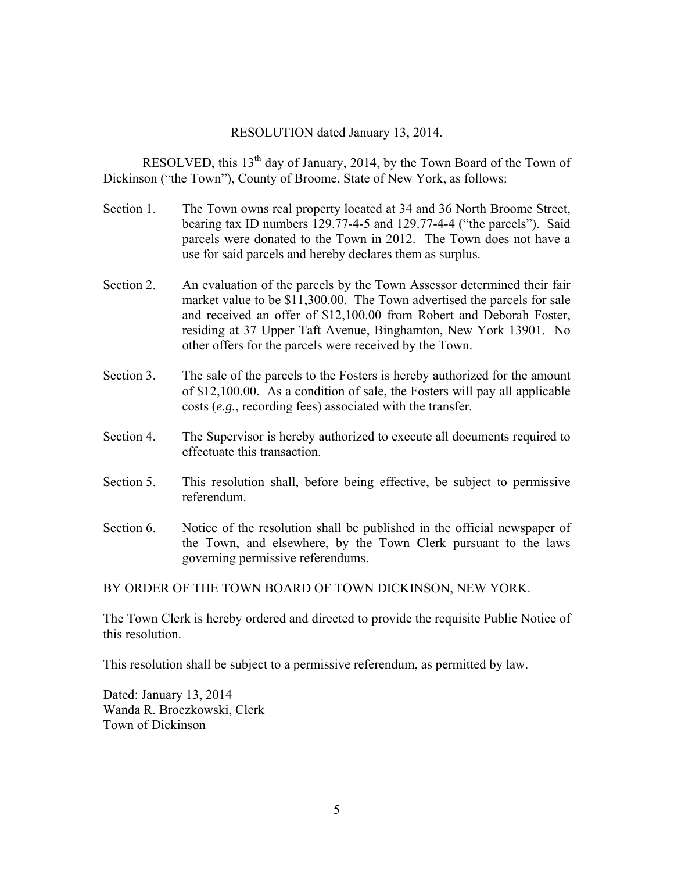#### RESOLUTION dated January 13, 2014.

RESOLVED, this  $13<sup>th</sup>$  day of January, 2014, by the Town Board of the Town of Dickinson ("the Town"), County of Broome, State of New York, as follows:

- Section 1. The Town owns real property located at 34 and 36 North Broome Street, bearing tax ID numbers 129.77-4-5 and 129.77-4-4 ("the parcels"). Said parcels were donated to the Town in 2012. The Town does not have a use for said parcels and hereby declares them as surplus.
- Section 2. An evaluation of the parcels by the Town Assessor determined their fair market value to be \$11,300.00. The Town advertised the parcels for sale and received an offer of \$12,100.00 from Robert and Deborah Foster, residing at 37 Upper Taft Avenue, Binghamton, New York 13901. No other offers for the parcels were received by the Town.
- Section 3. The sale of the parcels to the Fosters is hereby authorized for the amount of \$12,100.00. As a condition of sale, the Fosters will pay all applicable costs (*e.g.*, recording fees) associated with the transfer.
- Section 4. The Supervisor is hereby authorized to execute all documents required to effectuate this transaction.
- Section 5. This resolution shall, before being effective, be subject to permissive referendum.
- Section 6. Notice of the resolution shall be published in the official newspaper of the Town, and elsewhere, by the Town Clerk pursuant to the laws governing permissive referendums.

BY ORDER OF THE TOWN BOARD OF TOWN DICKINSON, NEW YORK.

The Town Clerk is hereby ordered and directed to provide the requisite Public Notice of this resolution.

This resolution shall be subject to a permissive referendum, as permitted by law.

Dated: January 13, 2014 Wanda R. Broczkowski, Clerk Town of Dickinson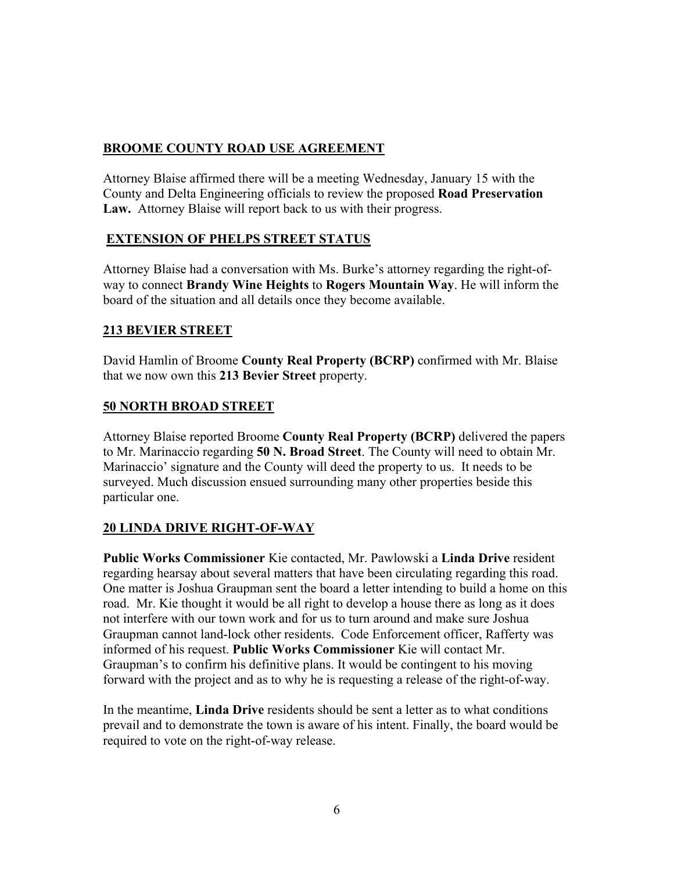# **BROOME COUNTY ROAD USE AGREEMENT**

Attorney Blaise affirmed there will be a meeting Wednesday, January 15 with the County and Delta Engineering officials to review the proposed **Road Preservation Law.** Attorney Blaise will report back to us with their progress.

### **EXTENSION OF PHELPS STREET STATUS**

Attorney Blaise had a conversation with Ms. Burke's attorney regarding the right-ofway to connect **Brandy Wine Heights** to **Rogers Mountain Way**. He will inform the board of the situation and all details once they become available.

### **213 BEVIER STREET**

David Hamlin of Broome **County Real Property (BCRP)** confirmed with Mr. Blaise that we now own this **213 Bevier Street** property.

### **50 NORTH BROAD STREET**

Attorney Blaise reported Broome **County Real Property (BCRP)** delivered the papers to Mr. Marinaccio regarding **50 N. Broad Street**. The County will need to obtain Mr. Marinaccio' signature and the County will deed the property to us. It needs to be surveyed. Much discussion ensued surrounding many other properties beside this particular one.

### **20 LINDA DRIVE RIGHT-OF-WAY**

**Public Works Commissioner** Kie contacted, Mr. Pawlowski a **Linda Drive** resident regarding hearsay about several matters that have been circulating regarding this road. One matter is Joshua Graupman sent the board a letter intending to build a home on this road. Mr. Kie thought it would be all right to develop a house there as long as it does not interfere with our town work and for us to turn around and make sure Joshua Graupman cannot land-lock other residents. Code Enforcement officer, Rafferty was informed of his request. **Public Works Commissioner** Kie will contact Mr. Graupman's to confirm his definitive plans. It would be contingent to his moving forward with the project and as to why he is requesting a release of the right-of-way.

In the meantime, **Linda Drive** residents should be sent a letter as to what conditions prevail and to demonstrate the town is aware of his intent. Finally, the board would be required to vote on the right-of-way release.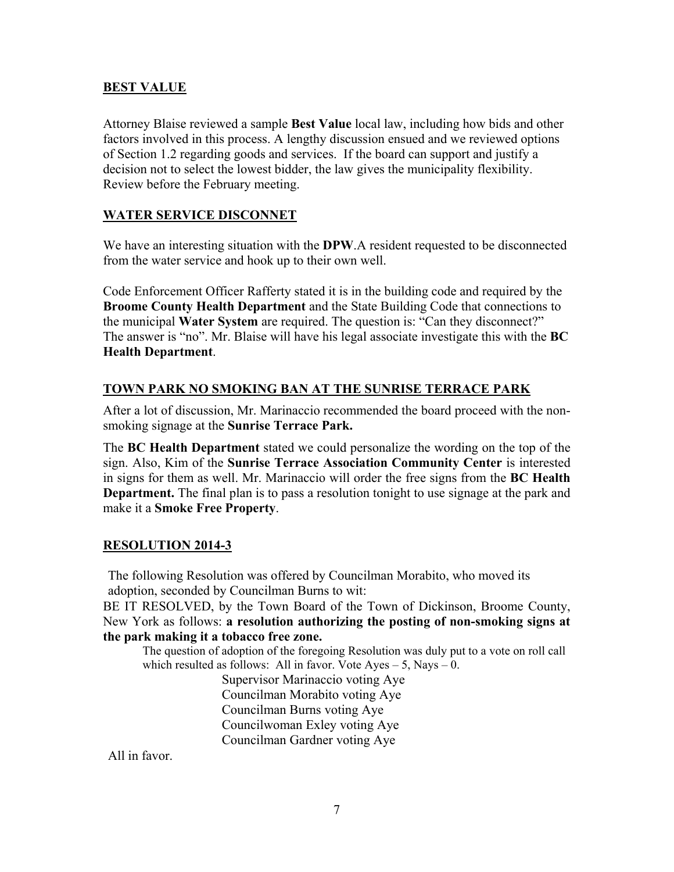#### **BEST VALUE**

Attorney Blaise reviewed a sample **Best Value** local law, including how bids and other factors involved in this process. A lengthy discussion ensued and we reviewed options of Section 1.2 regarding goods and services. If the board can support and justify a decision not to select the lowest bidder, the law gives the municipality flexibility. Review before the February meeting.

#### **WATER SERVICE DISCONNET**

We have an interesting situation with the **DPW**.A resident requested to be disconnected from the water service and hook up to their own well.

Code Enforcement Officer Rafferty stated it is in the building code and required by the **Broome County Health Department** and the State Building Code that connections to the municipal **Water System** are required. The question is: "Can they disconnect?" The answer is "no". Mr. Blaise will have his legal associate investigate this with the **BC Health Department**.

#### **TOWN PARK NO SMOKING BAN AT THE SUNRISE TERRACE PARK**

After a lot of discussion, Mr. Marinaccio recommended the board proceed with the nonsmoking signage at the **Sunrise Terrace Park.**

The **BC Health Department** stated we could personalize the wording on the top of the sign. Also, Kim of the **Sunrise Terrace Association Community Center** is interested in signs for them as well. Mr. Marinaccio will order the free signs from the **BC Health Department.** The final plan is to pass a resolution tonight to use signage at the park and make it a **Smoke Free Property**.

#### **RESOLUTION 2014-3**

The following Resolution was offered by Councilman Morabito, who moved its adoption, seconded by Councilman Burns to wit:

BE IT RESOLVED, by the Town Board of the Town of Dickinson, Broome County, New York as follows: **a resolution authorizing the posting of non-smoking signs at the park making it a tobacco free zone.** 

The question of adoption of the foregoing Resolution was duly put to a vote on roll call which resulted as follows: All in favor. Vote  $Ayes - 5$ , Nays  $- 0$ .

 Supervisor Marinaccio voting Aye Councilman Morabito voting Aye Councilman Burns voting Aye Councilwoman Exley voting Aye Councilman Gardner voting Aye

All in favor.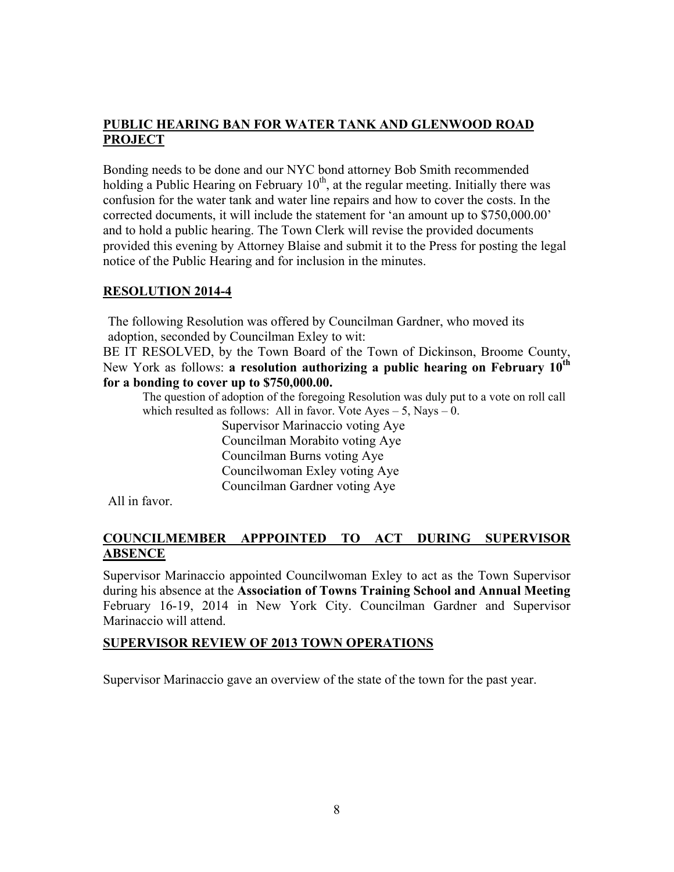## **PUBLIC HEARING BAN FOR WATER TANK AND GLENWOOD ROAD PROJECT**

Bonding needs to be done and our NYC bond attorney Bob Smith recommended holding a Public Hearing on February  $10<sup>th</sup>$ , at the regular meeting. Initially there was confusion for the water tank and water line repairs and how to cover the costs. In the corrected documents, it will include the statement for 'an amount up to \$750,000.00' and to hold a public hearing. The Town Clerk will revise the provided documents provided this evening by Attorney Blaise and submit it to the Press for posting the legal notice of the Public Hearing and for inclusion in the minutes.

# **RESOLUTION 2014-4**

The following Resolution was offered by Councilman Gardner, who moved its adoption, seconded by Councilman Exley to wit:

BE IT RESOLVED, by the Town Board of the Town of Dickinson, Broome County, New York as follows: **a resolution authorizing a public hearing on February 10th for a bonding to cover up to \$750,000.00.**

The question of adoption of the foregoing Resolution was duly put to a vote on roll call which resulted as follows: All in favor. Vote  $Ayes - 5$ , Nays  $- 0$ .

> Supervisor Marinaccio voting Aye Councilman Morabito voting Aye Councilman Burns voting Aye Councilwoman Exley voting Aye Councilman Gardner voting Aye

All in favor.

# **COUNCILMEMBER APPPOINTED TO ACT DURING SUPERVISOR ABSENCE**

Supervisor Marinaccio appointed Councilwoman Exley to act as the Town Supervisor during his absence at the **Association of Towns Training School and Annual Meeting** February 16-19, 2014 in New York City. Councilman Gardner and Supervisor Marinaccio will attend.

### **SUPERVISOR REVIEW OF 2013 TOWN OPERATIONS**

Supervisor Marinaccio gave an overview of the state of the town for the past year.